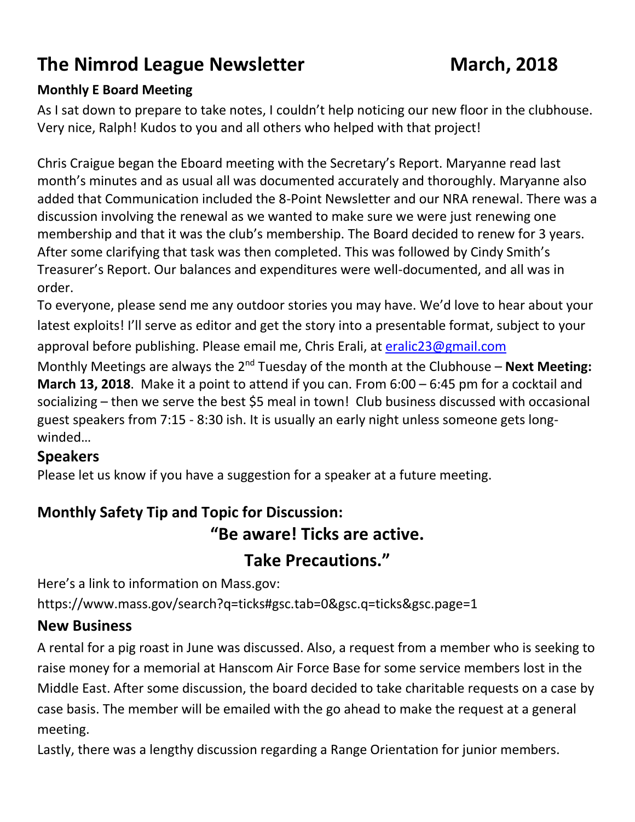# **The Nimrod League Newsletter March, 2018**

#### **Monthly E Board Meeting**

As I sat down to prepare to take notes, I couldn't help noticing our new floor in the clubhouse. Very nice, Ralph! Kudos to you and all others who helped with that project!

Chris Craigue began the Eboard meeting with the Secretary's Report. Maryanne read last month's minutes and as usual all was documented accurately and thoroughly. Maryanne also added that Communication included the 8-Point Newsletter and our NRA renewal. There was a discussion involving the renewal as we wanted to make sure we were just renewing one membership and that it was the club's membership. The Board decided to renew for 3 years. After some clarifying that task was then completed. This was followed by Cindy Smith's Treasurer's Report. Our balances and expenditures were well-documented, and all was in order.

To everyone, please send me any outdoor stories you may have. We'd love to hear about your latest exploits! I'll serve as editor and get the story into a presentable format, subject to your approval before publishing. Please email me, Chris Erali, at [eralic23@gmail.com](mailto:eralic23@gmail.com)

Monthly Meetings are always the 2<sup>nd</sup> Tuesday of the month at the Clubhouse – **Next Meeting: March 13, 2018**. Make it a point to attend if you can. From 6:00 – 6:45 pm for a cocktail and socializing – then we serve the best \$5 meal in town! Club business discussed with occasional guest speakers from 7:15 - 8:30 ish. It is usually an early night unless someone gets longwinded…

#### **Speakers**

Please let us know if you have a suggestion for a speaker at a future meeting.

## **Monthly Safety Tip and Topic for Discussion: "Be aware! Ticks are active. Take Precautions."**

Here's a link to information on Mass.gov: https://www.mass.gov/search?q=ticks#gsc.tab=0&gsc.q=ticks&gsc.page=1

#### **New Business**

A rental for a pig roast in June was discussed. Also, a request from a member who is seeking to raise money for a memorial at Hanscom Air Force Base for some service members lost in the Middle East. After some discussion, the board decided to take charitable requests on a case by case basis. The member will be emailed with the go ahead to make the request at a general meeting.

Lastly, there was a lengthy discussion regarding a Range Orientation for junior members.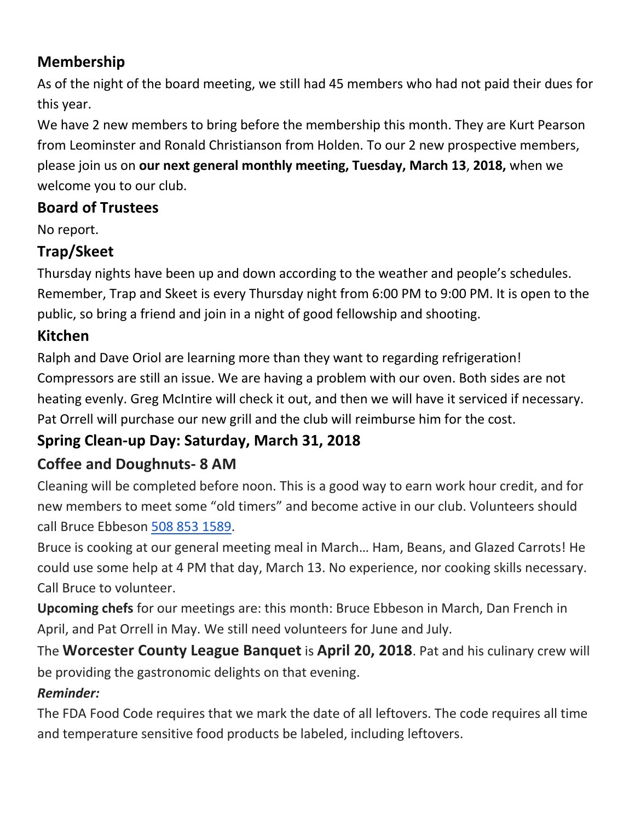#### **Membership**

As of the night of the board meeting, we still had 45 members who had not paid their dues for this year.

We have 2 new members to bring before the membership this month. They are Kurt Pearson from Leominster and Ronald Christianson from Holden. To our 2 new prospective members, please join us on **our next general monthly meeting, Tuesday, March 13**, **2018,** when we welcome you to our club.

## **Board of Trustees**

No report.

## **Trap/Skeet**

Thursday nights have been up and down according to the weather and people's schedules. Remember, Trap and Skeet is every Thursday night from 6:00 PM to 9:00 PM. It is open to the public, so bring a friend and join in a night of good fellowship and shooting.

## **Kitchen**

Ralph and Dave Oriol are learning more than they want to regarding refrigeration! Compressors are still an issue. We are having a problem with our oven. Both sides are not heating evenly. Greg McIntire will check it out, and then we will have it serviced if necessary. Pat Orrell will purchase our new grill and the club will reimburse him for the cost.

## **Spring Clean-up Day: Saturday, March 31, 2018**

## **Coffee and Doughnuts- 8 AM**

Cleaning will be completed before noon. This is a good way to earn work hour credit, and for new members to meet some "old timers" and become active in our club. Volunteers should call Bruce Ebbeson [508 853 1589.](tel:508%20853%201589)

Bruce is cooking at our general meeting meal in March… Ham, Beans, and Glazed Carrots! He could use some help at 4 PM that day, March 13. No experience, nor cooking skills necessary. Call Bruce to volunteer.

**Upcoming chefs** for our meetings are: this month: Bruce Ebbeson in March, Dan French in April, and Pat Orrell in May. We still need volunteers for June and July.

The **Worcester County League Banquet** is **April 20, 2018**. Pat and his culinary crew will be providing the gastronomic delights on that evening.

## *Reminder:*

The FDA Food Code requires that we mark the date of all leftovers. The code requires all time and temperature sensitive food products be labeled, including leftovers.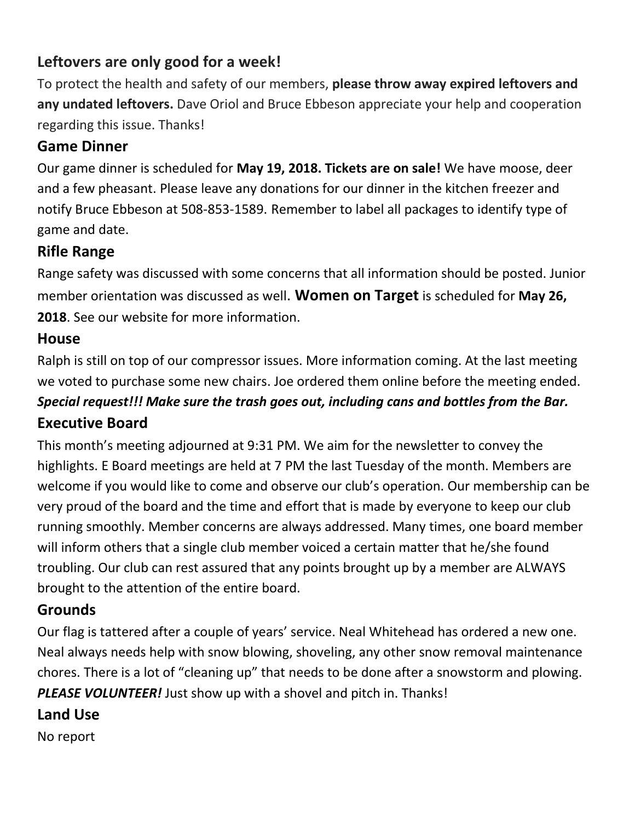#### **Leftovers are only good for a week!**

To protect the health and safety of our members, **please throw away expired leftovers and any undated leftovers.** Dave Oriol and Bruce Ebbeson appreciate your help and cooperation regarding this issue. Thanks!

## **Game Dinner**

Our game dinner is scheduled for **May 19, 2018. Tickets are on sale!** We have moose, deer and a few pheasant. Please leave any donations for our dinner in the kitchen freezer and notify Bruce Ebbeson at 508-853-1589. Remember to label all packages to identify type of game and date.

## **Rifle Range**

Range safety was discussed with some concerns that all information should be posted. Junior member orientation was discussed as well. **Women on Target** is scheduled for **May 26, 2018**. See our website for more information.

#### **House**

Ralph is still on top of our compressor issues. More information coming. At the last meeting we voted to purchase some new chairs. Joe ordered them online before the meeting ended. *Special request!!! Make sure the trash goes out, including cans and bottles from the Bar.*  **Executive Board**

This month's meeting adjourned at 9:31 PM. We aim for the newsletter to convey the highlights. E Board meetings are held at 7 PM the last Tuesday of the month. Members are welcome if you would like to come and observe our club's operation. Our membership can be very proud of the board and the time and effort that is made by everyone to keep our club running smoothly. Member concerns are always addressed. Many times, one board member will inform others that a single club member voiced a certain matter that he/she found troubling. Our club can rest assured that any points brought up by a member are ALWAYS brought to the attention of the entire board.

## **Grounds**

Our flag is tattered after a couple of years' service. Neal Whitehead has ordered a new one. Neal always needs help with snow blowing, shoveling, any other snow removal maintenance chores. There is a lot of "cleaning up" that needs to be done after a snowstorm and plowing. *PLEASE VOLUNTEER!* Just show up with a shovel and pitch in. Thanks!

#### **Land Use**

No report